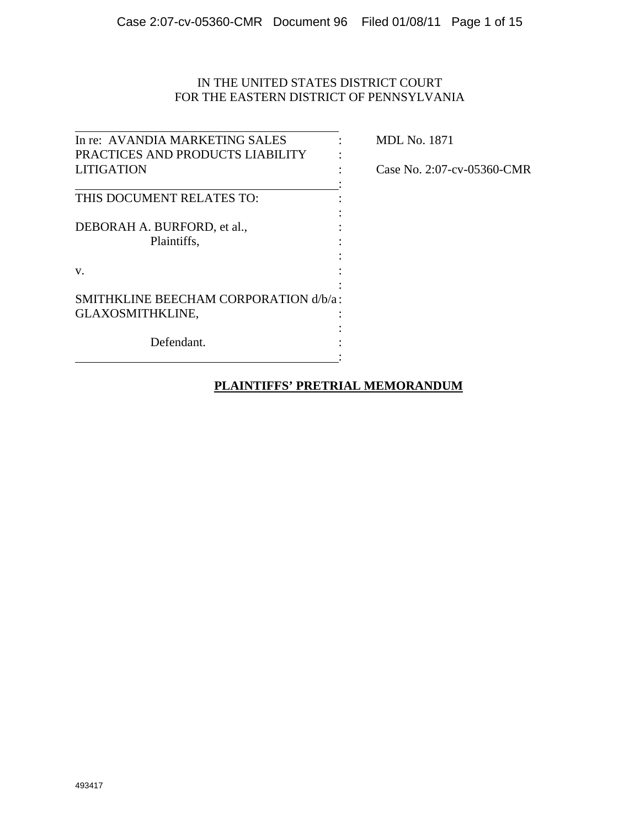# IN THE UNITED STATES DISTRICT COURT FOR THE EASTERN DISTRICT OF PENNSYLVANIA

| In re: AVANDIA MARKETING SALES        |  |
|---------------------------------------|--|
| PRACTICES AND PRODUCTS LIABILITY      |  |
| <b>LITIGATION</b>                     |  |
|                                       |  |
| THIS DOCUMENT RELATES TO:             |  |
|                                       |  |
| DEBORAH A. BURFORD, et al.,           |  |
| Plaintiffs,                           |  |
|                                       |  |
| V.                                    |  |
|                                       |  |
| SMITHKLINE BEECHAM CORPORATION d/b/a: |  |
| GLAXOSMITHKLINE,                      |  |
|                                       |  |
| Defendant.                            |  |
|                                       |  |

**MDL No. 1871** 

Case No. 2:07-cv-05360-CMR

# **PLAINTIFFS' PRETRIAL MEMORANDUM**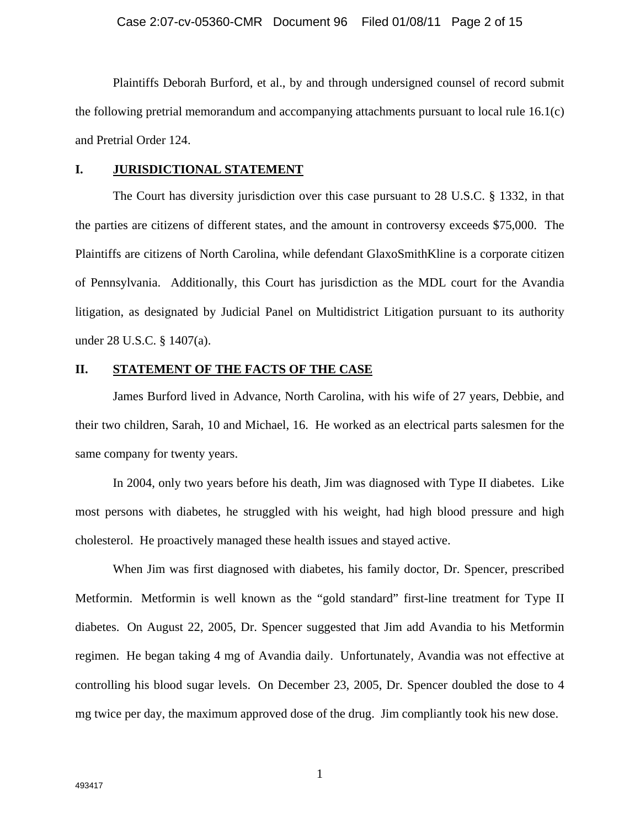Plaintiffs Deborah Burford, et al., by and through undersigned counsel of record submit the following pretrial memorandum and accompanying attachments pursuant to local rule 16.1(c) and Pretrial Order 124.

### **I. JURISDICTIONAL STATEMENT**

The Court has diversity jurisdiction over this case pursuant to 28 U.S.C. § 1332, in that the parties are citizens of different states, and the amount in controversy exceeds \$75,000. The Plaintiffs are citizens of North Carolina, while defendant GlaxoSmithKline is a corporate citizen of Pennsylvania. Additionally, this Court has jurisdiction as the MDL court for the Avandia litigation, as designated by Judicial Panel on Multidistrict Litigation pursuant to its authority under 28 U.S.C. § 1407(a).

## **II. STATEMENT OF THE FACTS OF THE CASE**

James Burford lived in Advance, North Carolina, with his wife of 27 years, Debbie, and their two children, Sarah, 10 and Michael, 16. He worked as an electrical parts salesmen for the same company for twenty years.

In 2004, only two years before his death, Jim was diagnosed with Type II diabetes. Like most persons with diabetes, he struggled with his weight, had high blood pressure and high cholesterol. He proactively managed these health issues and stayed active.

When Jim was first diagnosed with diabetes, his family doctor, Dr. Spencer, prescribed Metformin. Metformin is well known as the "gold standard" first-line treatment for Type II diabetes. On August 22, 2005, Dr. Spencer suggested that Jim add Avandia to his Metformin regimen. He began taking 4 mg of Avandia daily. Unfortunately, Avandia was not effective at controlling his blood sugar levels. On December 23, 2005, Dr. Spencer doubled the dose to 4 mg twice per day, the maximum approved dose of the drug. Jim compliantly took his new dose.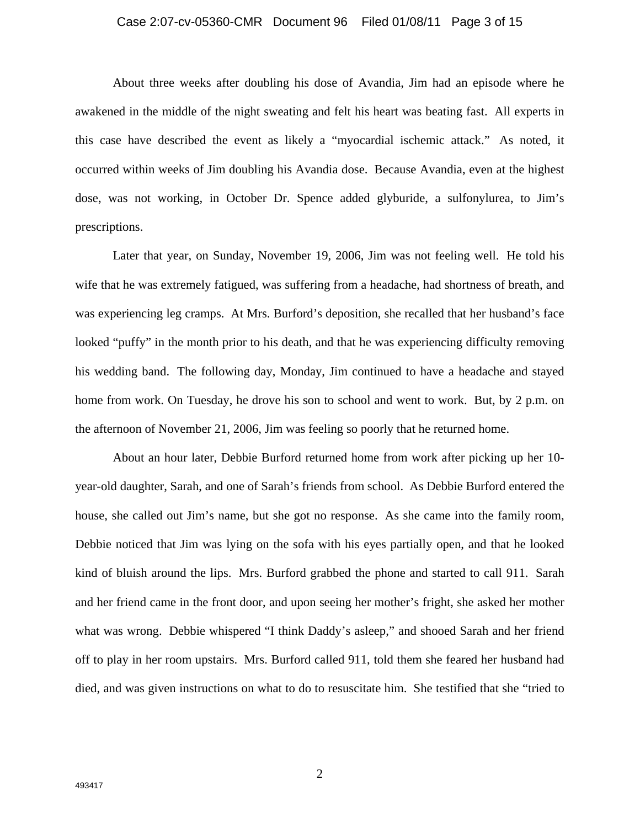### Case 2:07-cv-05360-CMR Document 96 Filed 01/08/11 Page 3 of 15

About three weeks after doubling his dose of Avandia, Jim had an episode where he awakened in the middle of the night sweating and felt his heart was beating fast. All experts in this case have described the event as likely a "myocardial ischemic attack." As noted, it occurred within weeks of Jim doubling his Avandia dose. Because Avandia, even at the highest dose, was not working, in October Dr. Spence added glyburide, a sulfonylurea, to Jim's prescriptions.

Later that year, on Sunday, November 19, 2006, Jim was not feeling well. He told his wife that he was extremely fatigued, was suffering from a headache, had shortness of breath, and was experiencing leg cramps. At Mrs. Burford's deposition, she recalled that her husband's face looked "puffy" in the month prior to his death, and that he was experiencing difficulty removing his wedding band. The following day, Monday, Jim continued to have a headache and stayed home from work. On Tuesday, he drove his son to school and went to work. But, by 2 p.m. on the afternoon of November 21, 2006, Jim was feeling so poorly that he returned home.

About an hour later, Debbie Burford returned home from work after picking up her 10 year-old daughter, Sarah, and one of Sarah's friends from school. As Debbie Burford entered the house, she called out Jim's name, but she got no response. As she came into the family room, Debbie noticed that Jim was lying on the sofa with his eyes partially open, and that he looked kind of bluish around the lips. Mrs. Burford grabbed the phone and started to call 911. Sarah and her friend came in the front door, and upon seeing her mother's fright, she asked her mother what was wrong. Debbie whispered "I think Daddy's asleep," and shooed Sarah and her friend off to play in her room upstairs. Mrs. Burford called 911, told them she feared her husband had died, and was given instructions on what to do to resuscitate him. She testified that she "tried to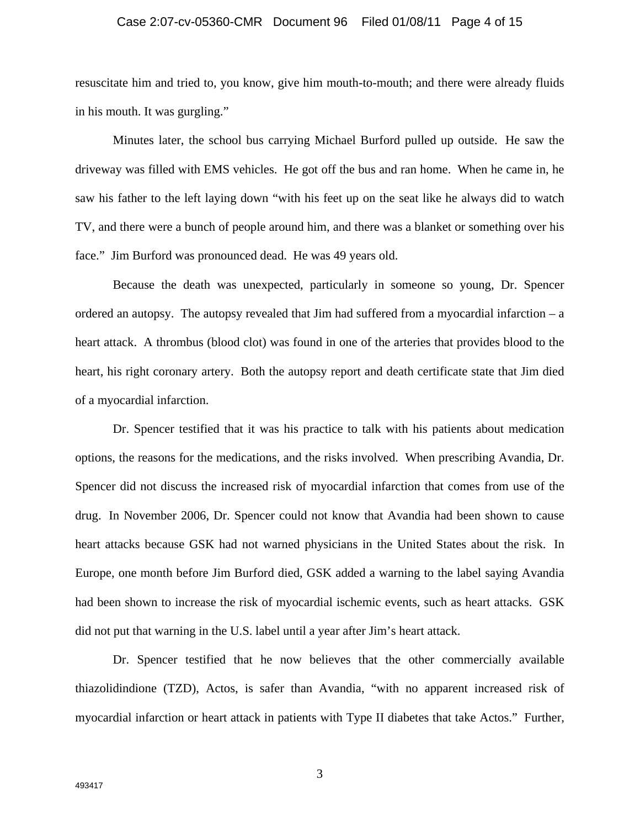### Case 2:07-cv-05360-CMR Document 96 Filed 01/08/11 Page 4 of 15

resuscitate him and tried to, you know, give him mouth-to-mouth; and there were already fluids in his mouth. It was gurgling."

Minutes later, the school bus carrying Michael Burford pulled up outside. He saw the driveway was filled with EMS vehicles. He got off the bus and ran home. When he came in, he saw his father to the left laying down "with his feet up on the seat like he always did to watch TV, and there were a bunch of people around him, and there was a blanket or something over his face." Jim Burford was pronounced dead. He was 49 years old.

Because the death was unexpected, particularly in someone so young, Dr. Spencer ordered an autopsy. The autopsy revealed that  $\lim$  had suffered from a myocardial infarction – a heart attack. A thrombus (blood clot) was found in one of the arteries that provides blood to the heart, his right coronary artery. Both the autopsy report and death certificate state that Jim died of a myocardial infarction.

Dr. Spencer testified that it was his practice to talk with his patients about medication options, the reasons for the medications, and the risks involved. When prescribing Avandia, Dr. Spencer did not discuss the increased risk of myocardial infarction that comes from use of the drug. In November 2006, Dr. Spencer could not know that Avandia had been shown to cause heart attacks because GSK had not warned physicians in the United States about the risk. In Europe, one month before Jim Burford died, GSK added a warning to the label saying Avandia had been shown to increase the risk of myocardial ischemic events, such as heart attacks. GSK did not put that warning in the U.S. label until a year after Jim's heart attack.

Dr. Spencer testified that he now believes that the other commercially available thiazolidindione (TZD), Actos, is safer than Avandia, "with no apparent increased risk of myocardial infarction or heart attack in patients with Type II diabetes that take Actos." Further,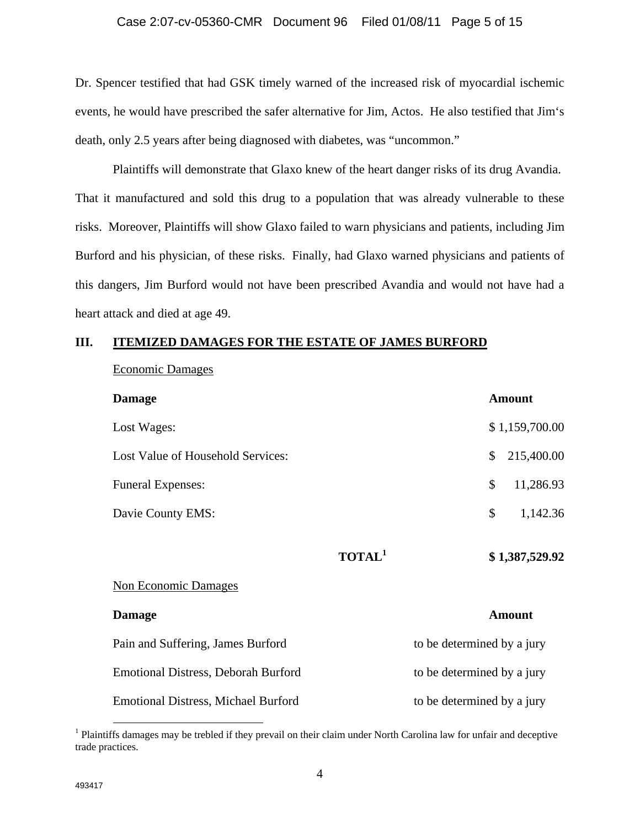### Case 2:07-cv-05360-CMR Document 96 Filed 01/08/11 Page 5 of 15

Dr. Spencer testified that had GSK timely warned of the increased risk of myocardial ischemic events, he would have prescribed the safer alternative for Jim, Actos. He also testified that Jim's death, only 2.5 years after being diagnosed with diabetes, was "uncommon."

Plaintiffs will demonstrate that Glaxo knew of the heart danger risks of its drug Avandia. That it manufactured and sold this drug to a population that was already vulnerable to these risks. Moreover, Plaintiffs will show Glaxo failed to warn physicians and patients, including Jim Burford and his physician, of these risks. Finally, had Glaxo warned physicians and patients of this dangers, Jim Burford would not have been prescribed Avandia and would not have had a heart attack and died at age 49.

### **III. ITEMIZED DAMAGES FOR THE ESTATE OF JAMES BURFORD**

Economic Damages

| <b>Damage</b>                              |                           |                            | <b>Amount</b>  |
|--------------------------------------------|---------------------------|----------------------------|----------------|
| Lost Wages:                                |                           |                            | \$1,159,700.00 |
| Lost Value of Household Services:          |                           | $\mathcal{S}$              | 215,400.00     |
| <b>Funeral Expenses:</b>                   |                           | \$                         | 11,286.93      |
| Davie County EMS:                          |                           | \$                         | 1,142.36       |
|                                            | <b>TOTAL</b> <sup>1</sup> |                            | \$1,387,529.92 |
| <b>Non Economic Damages</b>                |                           |                            |                |
| <b>Damage</b>                              |                           |                            | <b>Amount</b>  |
| Pain and Suffering, James Burford          |                           | to be determined by a jury |                |
| <b>Emotional Distress, Deborah Burford</b> |                           | to be determined by a jury |                |
| <b>Emotional Distress, Michael Burford</b> |                           | to be determined by a jury |                |

<sup>&</sup>lt;sup>1</sup> Plaintiffs damages may be trebled if they prevail on their claim under North Carolina law for unfair and deceptive trade practices.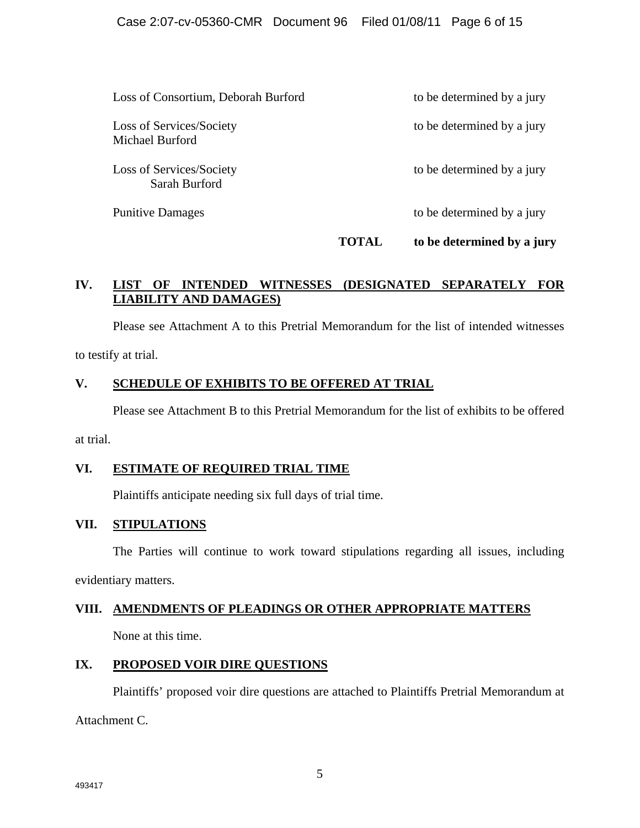## Case 2:07-cv-05360-CMR Document 96 Filed 01/08/11 Page 6 of 15

|                                                    | TAL. | to be determined by a jury |
|----------------------------------------------------|------|----------------------------|
| <b>Punitive Damages</b>                            |      | to be determined by a jury |
| Loss of Services/Society<br>Sarah Burford          |      | to be determined by a jury |
| Loss of Services/Society<br><b>Michael Burford</b> |      | to be determined by a jury |
| Loss of Consortium, Deborah Burford                |      | to be determined by a jury |

# **IV. LIST OF INTENDED WITNESSES (DESIGNATED SEPARATELY FOR LIABILITY AND DAMAGES)**

Please see Attachment A to this Pretrial Memorandum for the list of intended witnesses to testify at trial.

## **V. SCHEDULE OF EXHIBITS TO BE OFFERED AT TRIAL**

Please see Attachment B to this Pretrial Memorandum for the list of exhibits to be offered

at trial.

## **VI. ESTIMATE OF REQUIRED TRIAL TIME**

Plaintiffs anticipate needing six full days of trial time.

# **VII. STIPULATIONS**

The Parties will continue to work toward stipulations regarding all issues, including

evidentiary matters.

## **VIII. AMENDMENTS OF PLEADINGS OR OTHER APPROPRIATE MATTERS**

None at this time.

# **IX. PROPOSED VOIR DIRE QUESTIONS**

Plaintiffs' proposed voir dire questions are attached to Plaintiffs Pretrial Memorandum at

Attachment C.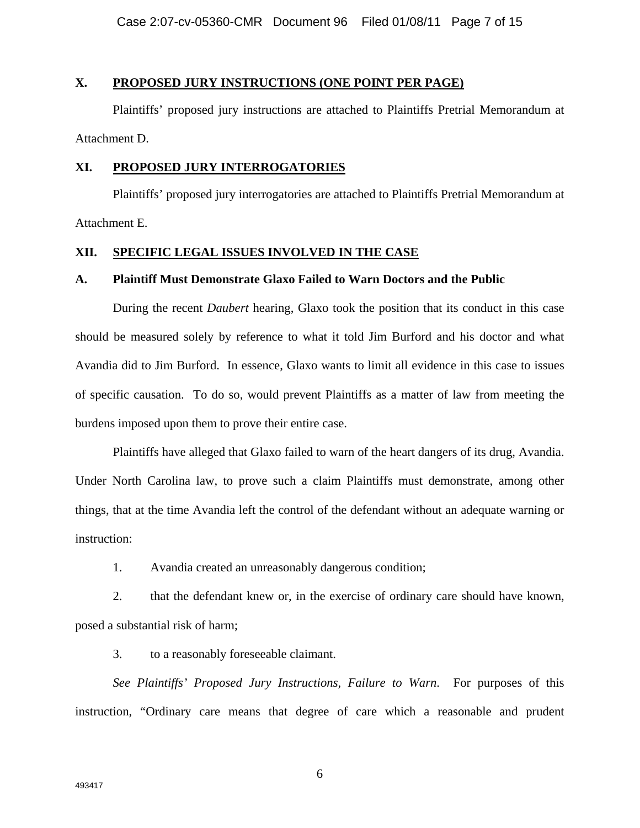## **X. PROPOSED JURY INSTRUCTIONS (ONE POINT PER PAGE)**

Plaintiffs' proposed jury instructions are attached to Plaintiffs Pretrial Memorandum at Attachment D.

### **XI. PROPOSED JURY INTERROGATORIES**

Plaintiffs' proposed jury interrogatories are attached to Plaintiffs Pretrial Memorandum at Attachment E.

## **XII. SPECIFIC LEGAL ISSUES INVOLVED IN THE CASE**

### **A. Plaintiff Must Demonstrate Glaxo Failed to Warn Doctors and the Public**

During the recent *Daubert* hearing, Glaxo took the position that its conduct in this case should be measured solely by reference to what it told Jim Burford and his doctor and what Avandia did to Jim Burford. In essence, Glaxo wants to limit all evidence in this case to issues of specific causation. To do so, would prevent Plaintiffs as a matter of law from meeting the burdens imposed upon them to prove their entire case.

Plaintiffs have alleged that Glaxo failed to warn of the heart dangers of its drug, Avandia. Under North Carolina law, to prove such a claim Plaintiffs must demonstrate, among other things, that at the time Avandia left the control of the defendant without an adequate warning or instruction:

1. Avandia created an unreasonably dangerous condition;

2. that the defendant knew or, in the exercise of ordinary care should have known, posed a substantial risk of harm;

3. to a reasonably foreseeable claimant.

*See Plaintiffs' Proposed Jury Instructions, Failure to Warn*. For purposes of this instruction, "Ordinary care means that degree of care which a reasonable and prudent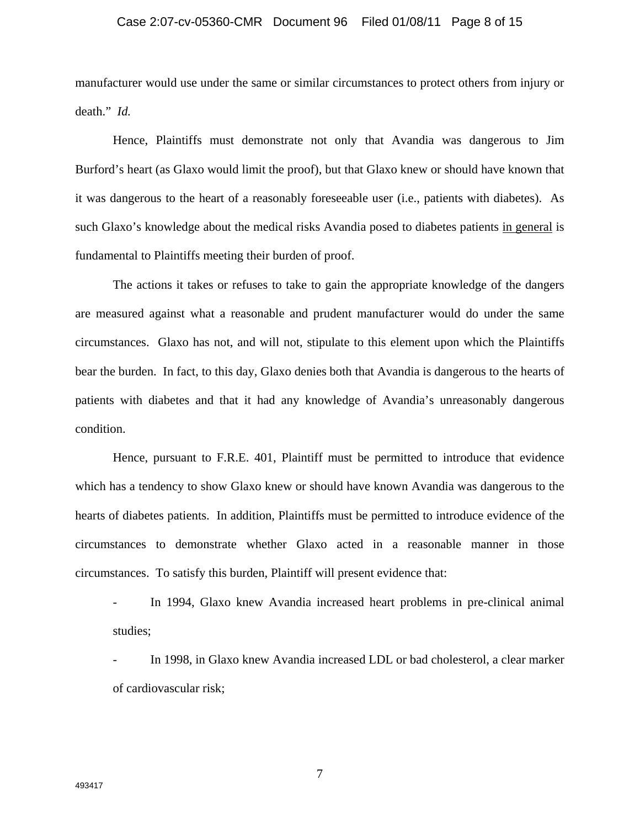### Case 2:07-cv-05360-CMR Document 96 Filed 01/08/11 Page 8 of 15

manufacturer would use under the same or similar circumstances to protect others from injury or death." *Id.* 

Hence, Plaintiffs must demonstrate not only that Avandia was dangerous to Jim Burford's heart (as Glaxo would limit the proof), but that Glaxo knew or should have known that it was dangerous to the heart of a reasonably foreseeable user (i.e., patients with diabetes). As such Glaxo's knowledge about the medical risks Avandia posed to diabetes patients in general is fundamental to Plaintiffs meeting their burden of proof.

The actions it takes or refuses to take to gain the appropriate knowledge of the dangers are measured against what a reasonable and prudent manufacturer would do under the same circumstances. Glaxo has not, and will not, stipulate to this element upon which the Plaintiffs bear the burden. In fact, to this day, Glaxo denies both that Avandia is dangerous to the hearts of patients with diabetes and that it had any knowledge of Avandia's unreasonably dangerous condition.

Hence, pursuant to F.R.E. 401, Plaintiff must be permitted to introduce that evidence which has a tendency to show Glaxo knew or should have known Avandia was dangerous to the hearts of diabetes patients. In addition, Plaintiffs must be permitted to introduce evidence of the circumstances to demonstrate whether Glaxo acted in a reasonable manner in those circumstances. To satisfy this burden, Plaintiff will present evidence that:

- In 1994, Glaxo knew Avandia increased heart problems in pre-clinical animal studies;

- In 1998, in Glaxo knew Avandia increased LDL or bad cholesterol, a clear marker of cardiovascular risk;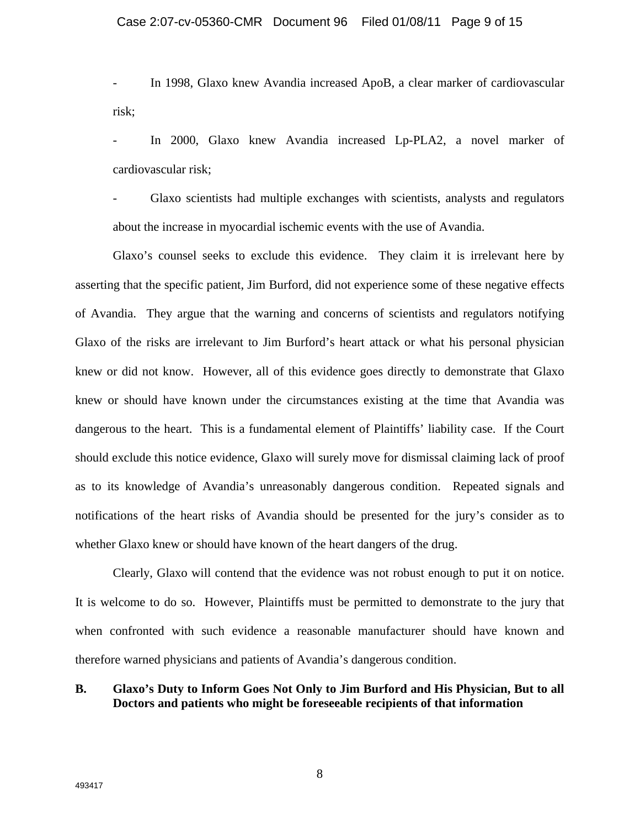- In 1998, Glaxo knew Avandia increased ApoB, a clear marker of cardiovascular risk;

In 2000, Glaxo knew Avandia increased Lp-PLA2, a novel marker of cardiovascular risk;

- Glaxo scientists had multiple exchanges with scientists, analysts and regulators about the increase in myocardial ischemic events with the use of Avandia.

Glaxo's counsel seeks to exclude this evidence. They claim it is irrelevant here by asserting that the specific patient, Jim Burford, did not experience some of these negative effects of Avandia. They argue that the warning and concerns of scientists and regulators notifying Glaxo of the risks are irrelevant to Jim Burford's heart attack or what his personal physician knew or did not know. However, all of this evidence goes directly to demonstrate that Glaxo knew or should have known under the circumstances existing at the time that Avandia was dangerous to the heart. This is a fundamental element of Plaintiffs' liability case. If the Court should exclude this notice evidence, Glaxo will surely move for dismissal claiming lack of proof as to its knowledge of Avandia's unreasonably dangerous condition. Repeated signals and notifications of the heart risks of Avandia should be presented for the jury's consider as to whether Glaxo knew or should have known of the heart dangers of the drug.

Clearly, Glaxo will contend that the evidence was not robust enough to put it on notice. It is welcome to do so. However, Plaintiffs must be permitted to demonstrate to the jury that when confronted with such evidence a reasonable manufacturer should have known and therefore warned physicians and patients of Avandia's dangerous condition.

## **B. Glaxo's Duty to Inform Goes Not Only to Jim Burford and His Physician, But to all Doctors and patients who might be foreseeable recipients of that information**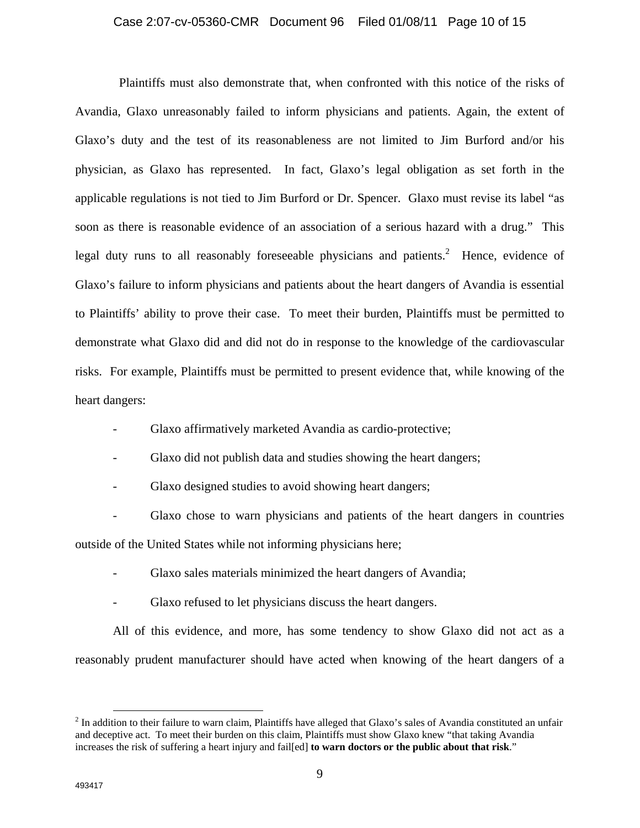### Case 2:07-cv-05360-CMR Document 96 Filed 01/08/11 Page 10 of 15

Plaintiffs must also demonstrate that, when confronted with this notice of the risks of Avandia, Glaxo unreasonably failed to inform physicians and patients. Again, the extent of Glaxo's duty and the test of its reasonableness are not limited to Jim Burford and/or his physician, as Glaxo has represented. In fact, Glaxo's legal obligation as set forth in the applicable regulations is not tied to Jim Burford or Dr. Spencer. Glaxo must revise its label "as soon as there is reasonable evidence of an association of a serious hazard with a drug." This legal duty runs to all reasonably foreseeable physicians and patients.<sup>2</sup> Hence, evidence of Glaxo's failure to inform physicians and patients about the heart dangers of Avandia is essential to Plaintiffs' ability to prove their case. To meet their burden, Plaintiffs must be permitted to demonstrate what Glaxo did and did not do in response to the knowledge of the cardiovascular risks. For example, Plaintiffs must be permitted to present evidence that, while knowing of the heart dangers:

- Glaxo affirmatively marketed Avandia as cardio-protective;

- Glaxo did not publish data and studies showing the heart dangers;

- Glaxo designed studies to avoid showing heart dangers;

- Glaxo chose to warn physicians and patients of the heart dangers in countries outside of the United States while not informing physicians here;

- Glaxo sales materials minimized the heart dangers of Avandia;
- Glaxo refused to let physicians discuss the heart dangers.

All of this evidence, and more, has some tendency to show Glaxo did not act as a reasonably prudent manufacturer should have acted when knowing of the heart dangers of a

<sup>&</sup>lt;sup>2</sup> In addition to their failure to warn claim, Plaintiffs have alleged that Glaxo's sales of Avandia constituted an unfair and deceptive act. To meet their burden on this claim, Plaintiffs must show Glaxo knew "that taking Avandia increases the risk of suffering a heart injury and fail[ed] **to warn doctors or the public about that risk**."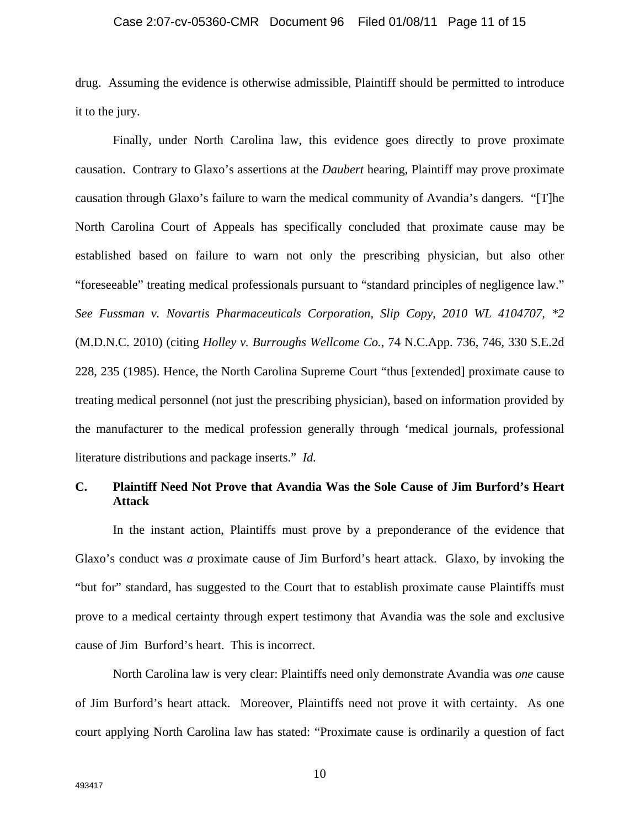### Case 2:07-cv-05360-CMR Document 96 Filed 01/08/11 Page 11 of 15

drug. Assuming the evidence is otherwise admissible, Plaintiff should be permitted to introduce it to the jury.

Finally, under North Carolina law, this evidence goes directly to prove proximate causation. Contrary to Glaxo's assertions at the *Daubert* hearing, Plaintiff may prove proximate causation through Glaxo's failure to warn the medical community of Avandia's dangers. "[T]he North Carolina Court of Appeals has specifically concluded that proximate cause may be established based on failure to warn not only the prescribing physician, but also other "foreseeable" treating medical professionals pursuant to "standard principles of negligence law." *See Fussman v. Novartis Pharmaceuticals Corporation, Slip Copy, 2010 WL 4104707, \*2*  (M.D.N.C. 2010) (citing *Holley v. Burroughs Wellcome Co.*, 74 N.C.App. 736, 746, 330 S.E.2d 228, 235 (1985). Hence, the North Carolina Supreme Court "thus [extended] proximate cause to treating medical personnel (not just the prescribing physician), based on information provided by the manufacturer to the medical profession generally through 'medical journals, professional literature distributions and package inserts." *Id.* 

## **C. Plaintiff Need Not Prove that Avandia Was the Sole Cause of Jim Burford's Heart Attack**

In the instant action, Plaintiffs must prove by a preponderance of the evidence that Glaxo's conduct was *a* proximate cause of Jim Burford's heart attack. Glaxo, by invoking the "but for" standard, has suggested to the Court that to establish proximate cause Plaintiffs must prove to a medical certainty through expert testimony that Avandia was the sole and exclusive cause of Jim Burford's heart. This is incorrect.

North Carolina law is very clear: Plaintiffs need only demonstrate Avandia was *one* cause of Jim Burford's heart attack. Moreover, Plaintiffs need not prove it with certainty. As one court applying North Carolina law has stated: "Proximate cause is ordinarily a question of fact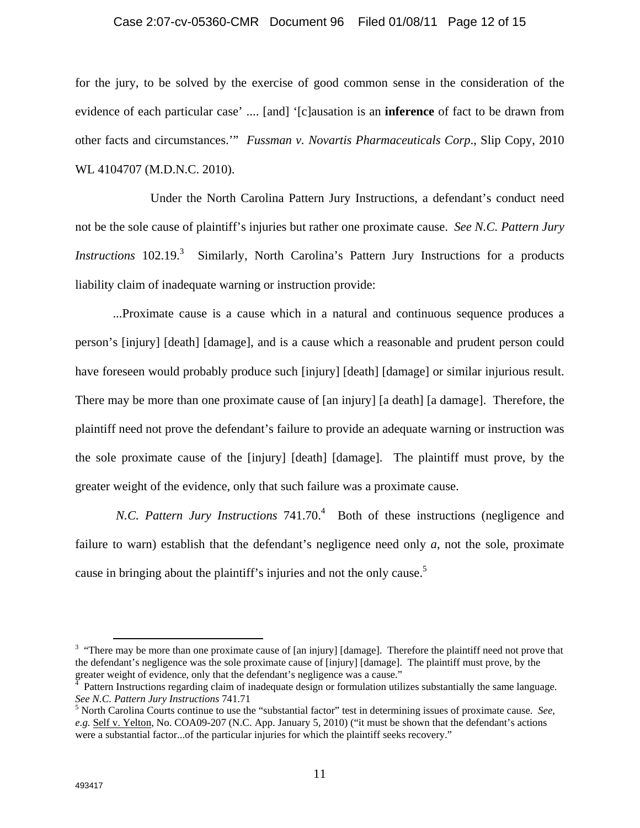### Case 2:07-cv-05360-CMR Document 96 Filed 01/08/11 Page 12 of 15

for the jury, to be solved by the exercise of good common sense in the consideration of the evidence of each particular case' .... [and] '[c]ausation is an **inference** of fact to be drawn from other facts and circumstances.'" *Fussman v. Novartis Pharmaceuticals Corp*., Slip Copy, 2010 WL 4104707 (M.D.N.C. 2010).

 Under the North Carolina Pattern Jury Instructions, a defendant's conduct need not be the sole cause of plaintiff's injuries but rather one proximate cause. *See N.C. Pattern Jury Instructions* 102.19.<sup>3</sup> Similarly, North Carolina's Pattern Jury Instructions for a products liability claim of inadequate warning or instruction provide:

...Proximate cause is a cause which in a natural and continuous sequence produces a person's [injury] [death] [damage], and is a cause which a reasonable and prudent person could have foreseen would probably produce such [injury] [death] [damage] or similar injurious result. There may be more than one proximate cause of [an injury] [a death] [a damage]. Therefore, the plaintiff need not prove the defendant's failure to provide an adequate warning or instruction was the sole proximate cause of the [injury] [death] [damage]. The plaintiff must prove, by the greater weight of the evidence, only that such failure was a proximate cause.

N.C. Pattern Jury Instructions 741.70.<sup>4</sup> Both of these instructions (negligence and failure to warn) establish that the defendant's negligence need only *a*, not the sole, proximate cause in bringing about the plaintiff's injuries and not the only cause.<sup>5</sup>

<sup>&</sup>lt;sup>3</sup> "There may be more than one proximate cause of [an injury] [damage]. Therefore the plaintiff need not prove that the defendant's negligence was the sole proximate cause of [injury] [damage]. The plaintiff must prove, by the greater weight of evidence, only that the defendant's negligence was a cause."

Pattern Instructions regarding claim of inadequate design or formulation utilizes substantially the same language. *See N.C. Pattern Jury Instructions 741.71* 

<sup>&</sup>lt;sup>5</sup> North Carolina Courts continue to use the "substantial factor" test in determining issues of proximate cause. *See*, *e.g.* Self v. Yelton, No. COA09-207 (N.C. App. January 5, 2010) ("it must be shown that the defendant's actions were a substantial factor...of the particular injuries for which the plaintiff seeks recovery."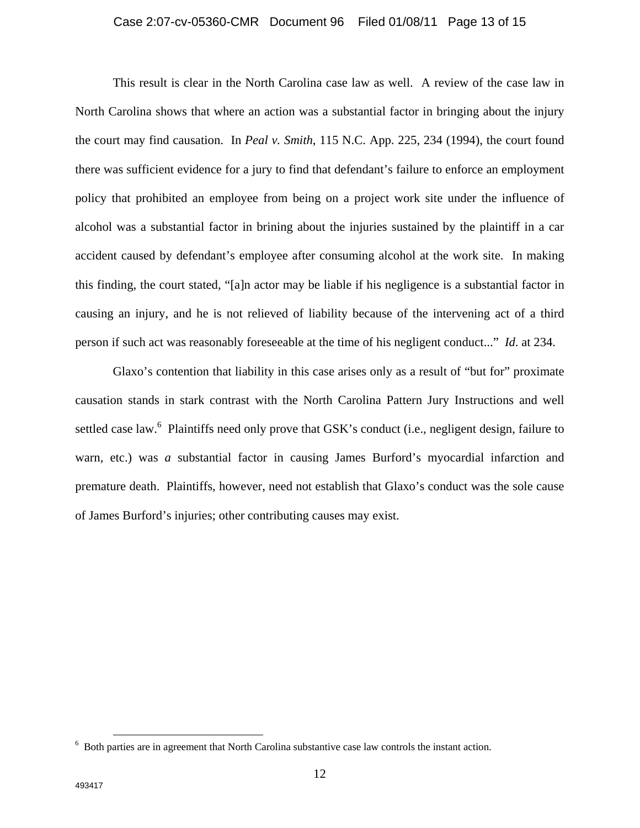### Case 2:07-cv-05360-CMR Document 96 Filed 01/08/11 Page 13 of 15

This result is clear in the North Carolina case law as well. A review of the case law in North Carolina shows that where an action was a substantial factor in bringing about the injury the court may find causation. In *Peal v. Smith*, 115 N.C. App. 225, 234 (1994), the court found there was sufficient evidence for a jury to find that defendant's failure to enforce an employment policy that prohibited an employee from being on a project work site under the influence of alcohol was a substantial factor in brining about the injuries sustained by the plaintiff in a car accident caused by defendant's employee after consuming alcohol at the work site. In making this finding, the court stated, "[a]n actor may be liable if his negligence is a substantial factor in causing an injury, and he is not relieved of liability because of the intervening act of a third person if such act was reasonably foreseeable at the time of his negligent conduct..." *Id*. at 234.

Glaxo's contention that liability in this case arises only as a result of "but for" proximate causation stands in stark contrast with the North Carolina Pattern Jury Instructions and well settled case law.<sup>6</sup> Plaintiffs need only prove that GSK's conduct (i.e., negligent design, failure to warn, etc.) was *a* substantial factor in causing James Burford's myocardial infarction and premature death. Plaintiffs, however, need not establish that Glaxo's conduct was the sole cause of James Burford's injuries; other contributing causes may exist.

 <sup>6</sup> Both parties are in agreement that North Carolina substantive case law controls the instant action.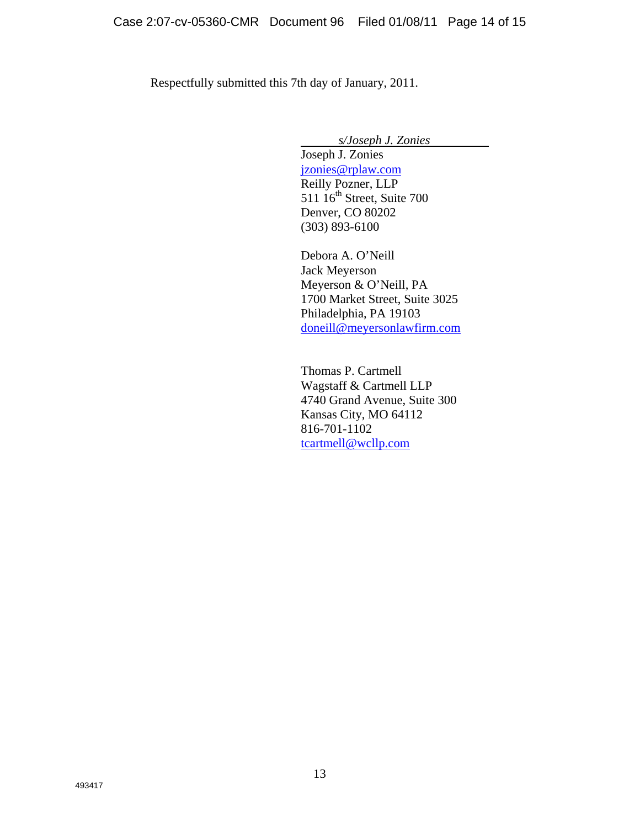Respectfully submitted this 7th day of January, 2011.

*s/Joseph J. Zonies*

Joseph J. Zonies jzonies@rplaw.com Reilly Pozner, LLP 511 16<sup>th</sup> Street, Suite 700 Denver, CO 80202 (303) 893-6100

Debora A. O'Neill Jack Meyerson Meyerson & O'Neill, PA 1700 Market Street, Suite 3025 Philadelphia, PA 19103 doneill@meyersonlawfirm.com

Thomas P. Cartmell Wagstaff & Cartmell LLP 4740 Grand Avenue, Suite 300 Kansas City, MO 64112 816-701-1102 tcartmell@wcllp.com